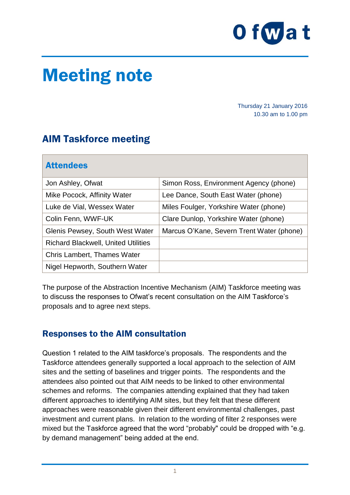

## Meeting note

Thursday 21 January 2016 10.30 am to 1.00 pm

## AIM Taskforce meeting

| <b>Attendees</b>                           |                                           |
|--------------------------------------------|-------------------------------------------|
| Jon Ashley, Ofwat                          | Simon Ross, Environment Agency (phone)    |
| Mike Pocock, Affinity Water                | Lee Dance, South East Water (phone)       |
| Luke de Vial, Wessex Water                 | Miles Foulger, Yorkshire Water (phone)    |
| Colin Fenn, WWF-UK                         | Clare Dunlop, Yorkshire Water (phone)     |
| Glenis Pewsey, South West Water            | Marcus O'Kane, Severn Trent Water (phone) |
| <b>Richard Blackwell, United Utilities</b> |                                           |
| <b>Chris Lambert, Thames Water</b>         |                                           |
| Nigel Hepworth, Southern Water             |                                           |

The purpose of the Abstraction Incentive Mechanism (AIM) Taskforce meeting was to discuss the responses to Ofwat's recent consultation on the AIM Taskforce's proposals and to agree next steps.

## Responses to the AIM consultation

Question 1 related to the AIM taskforce's proposals. The respondents and the Taskforce attendees generally supported a local approach to the selection of AIM sites and the setting of baselines and trigger points. The respondents and the attendees also pointed out that AIM needs to be linked to other environmental schemes and reforms. The companies attending explained that they had taken different approaches to identifying AIM sites, but they felt that these different approaches were reasonable given their different environmental challenges, past investment and current plans. In relation to the wording of filter 2 responses were mixed but the Taskforce agreed that the word "probably" could be dropped with "e.g. by demand management" being added at the end.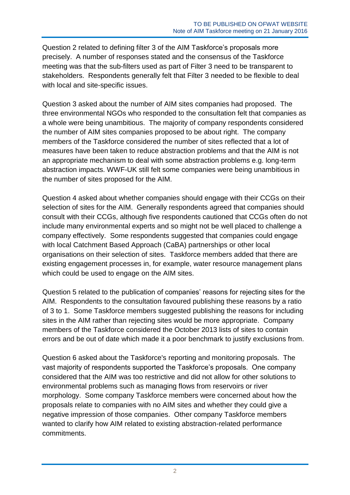Question 2 related to defining filter 3 of the AIM Taskforce's proposals more precisely. A number of responses stated and the consensus of the Taskforce meeting was that the sub-filters used as part of Filter 3 need to be transparent to stakeholders. Respondents generally felt that Filter 3 needed to be flexible to deal with local and site-specific issues.

Question 3 asked about the number of AIM sites companies had proposed. The three environmental NGOs who responded to the consultation felt that companies as a whole were being unambitious. The majority of company respondents considered the number of AIM sites companies proposed to be about right. The company members of the Taskforce considered the number of sites reflected that a lot of measures have been taken to reduce abstraction problems and that the AIM is not an appropriate mechanism to deal with some abstraction problems e.g. long-term abstraction impacts. WWF-UK still felt some companies were being unambitious in the number of sites proposed for the AIM.

Question 4 asked about whether companies should engage with their CCGs on their selection of sites for the AIM. Generally respondents agreed that companies should consult with their CCGs, although five respondents cautioned that CCGs often do not include many environmental experts and so might not be well placed to challenge a company effectively. Some respondents suggested that companies could engage with local Catchment Based Approach (CaBA) partnerships or other local organisations on their selection of sites. Taskforce members added that there are existing engagement processes in, for example, water resource management plans which could be used to engage on the AIM sites.

Question 5 related to the publication of companies' reasons for rejecting sites for the AIM. Respondents to the consultation favoured publishing these reasons by a ratio of 3 to 1. Some Taskforce members suggested publishing the reasons for including sites in the AIM rather than rejecting sites would be more appropriate. Company members of the Taskforce considered the October 2013 lists of sites to contain errors and be out of date which made it a poor benchmark to justify exclusions from.

Question 6 asked about the Taskforce's reporting and monitoring proposals. The vast majority of respondents supported the Taskforce's proposals. One company considered that the AIM was too restrictive and did not allow for other solutions to environmental problems such as managing flows from reservoirs or river morphology. Some company Taskforce members were concerned about how the proposals relate to companies with no AIM sites and whether they could give a negative impression of those companies. Other company Taskforce members wanted to clarify how AIM related to existing abstraction-related performance commitments.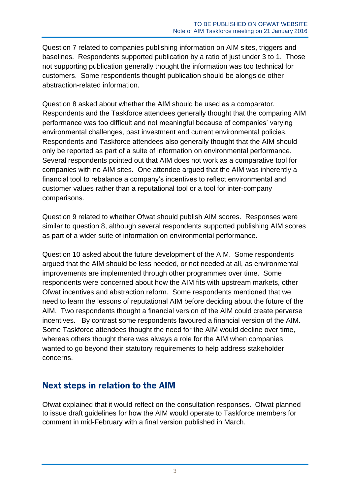Question 7 related to companies publishing information on AIM sites, triggers and baselines. Respondents supported publication by a ratio of just under 3 to 1. Those not supporting publication generally thought the information was too technical for customers. Some respondents thought publication should be alongside other abstraction-related information.

Question 8 asked about whether the AIM should be used as a comparator. Respondents and the Taskforce attendees generally thought that the comparing AIM performance was too difficult and not meaningful because of companies' varying environmental challenges, past investment and current environmental policies. Respondents and Taskforce attendees also generally thought that the AIM should only be reported as part of a suite of information on environmental performance. Several respondents pointed out that AIM does not work as a comparative tool for companies with no AIM sites. One attendee argued that the AIM was inherently a financial tool to rebalance a company's incentives to reflect environmental and customer values rather than a reputational tool or a tool for inter-company comparisons.

Question 9 related to whether Ofwat should publish AIM scores. Responses were similar to question 8, although several respondents supported publishing AIM scores as part of a wider suite of information on environmental performance.

Question 10 asked about the future development of the AIM. Some respondents argued that the AIM should be less needed, or not needed at all, as environmental improvements are implemented through other programmes over time. Some respondents were concerned about how the AIM fits with upstream markets, other Ofwat incentives and abstraction reform. Some respondents mentioned that we need to learn the lessons of reputational AIM before deciding about the future of the AIM. Two respondents thought a financial version of the AIM could create perverse incentives. By contrast some respondents favoured a financial version of the AIM. Some Taskforce attendees thought the need for the AIM would decline over time, whereas others thought there was always a role for the AIM when companies wanted to go beyond their statutory requirements to help address stakeholder concerns.

## Next steps in relation to the AIM

Ofwat explained that it would reflect on the consultation responses. Ofwat planned to issue draft guidelines for how the AIM would operate to Taskforce members for comment in mid-February with a final version published in March.